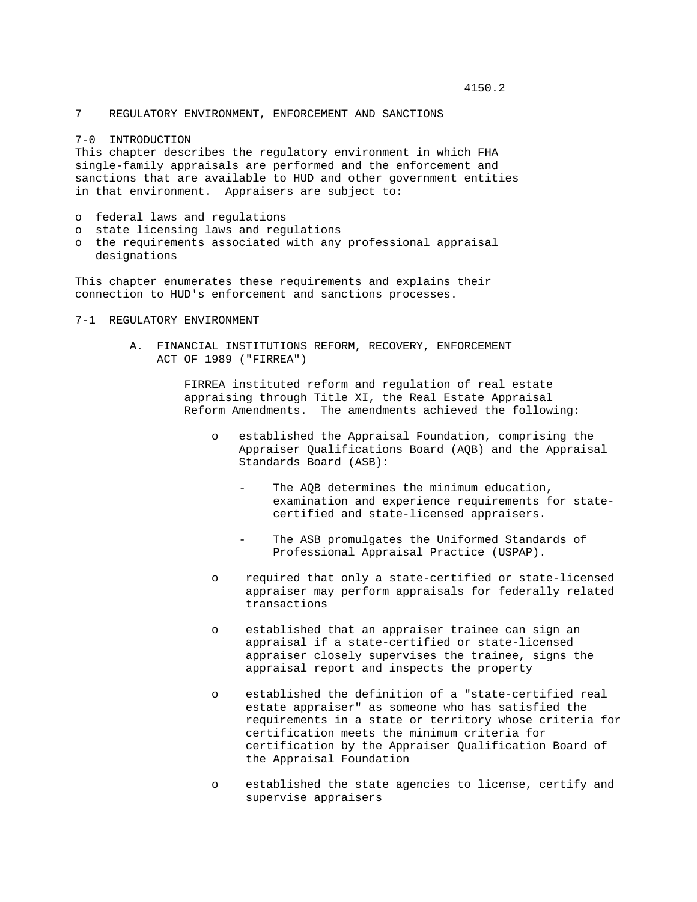4150.2

7 REGULATORY ENVIRONMENT, ENFORCEMENT AND SANCTIONS

7-0 INTRODUCTION

This chapter describes the regulatory environment in which FHA single-family appraisals are performed and the enforcement and sanctions that are available to HUD and other government entities in that environment. Appraisers are subject to:

- o federal laws and regulations
- o state licensing laws and regulations
- o the requirements associated with any professional appraisal designations

This chapter enumerates these requirements and explains their connection to HUD's enforcement and sanctions processes.

# 7-1 REGULATORY ENVIRONMENT

 A. FINANCIAL INSTITUTIONS REFORM, RECOVERY, ENFORCEMENT ACT OF 1989 ("FIRREA")

> FIRREA instituted reform and regulation of real estate appraising through Title XI, the Real Estate Appraisal Reform Amendments. The amendments achieved the following:

- o established the Appraisal Foundation, comprising the Appraiser Qualifications Board (AQB) and the Appraisal Standards Board (ASB):
	- The AQB determines the minimum education, examination and experience requirements for state certified and state-licensed appraisers.
	- The ASB promulgates the Uniformed Standards of Professional Appraisal Practice (USPAP).
- o required that only a state-certified or state-licensed appraiser may perform appraisals for federally related transactions
- o established that an appraiser trainee can sign an appraisal if a state-certified or state-licensed appraiser closely supervises the trainee, signs the appraisal report and inspects the property
- o established the definition of a "state-certified real estate appraiser" as someone who has satisfied the requirements in a state or territory whose criteria for certification meets the minimum criteria for certification by the Appraiser Qualification Board of the Appraisal Foundation
- o established the state agencies to license, certify and supervise appraisers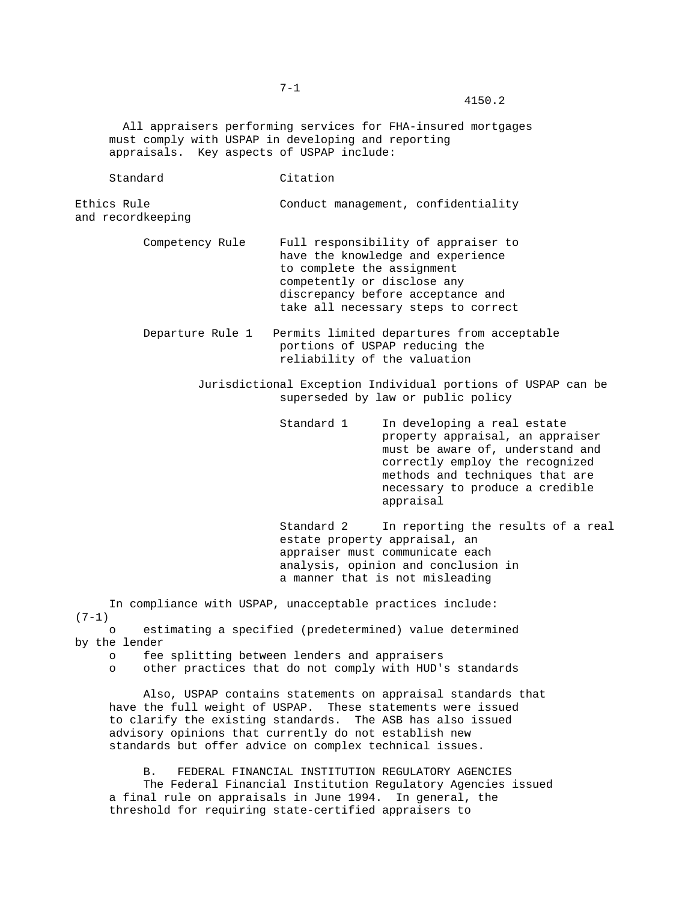All appraisers performing services for FHA-insured mortgages must comply with USPAP in developing and reporting appraisals. Key aspects of USPAP include:

Standard Citation

Ethics Rule Conduct management, confidentiality and recordkeeping

> Competency Rule Full responsibility of appraiser to have the knowledge and experience to complete the assignment competently or disclose any discrepancy before acceptance and take all necessary steps to correct

 Departure Rule 1 Permits limited departures from acceptable portions of USPAP reducing the reliability of the valuation

> Jurisdictional Exception Individual portions of USPAP can be superseded by law or public policy

> > Standard 1 In developing a real estate property appraisal, an appraiser must be aware of, understand and correctly employ the recognized methods and techniques that are necessary to produce a credible appraisal

 Standard 2 In reporting the results of a real estate property appraisal, an appraiser must communicate each analysis, opinion and conclusion in a manner that is not misleading

 In compliance with USPAP, unacceptable practices include:  $(7-1)$ 

 o estimating a specified (predetermined) value determined by the lender

- o fee splitting between lenders and appraisers
- o other practices that do not comply with HUD's standards

 Also, USPAP contains statements on appraisal standards that have the full weight of USPAP. These statements were issued to clarify the existing standards. The ASB has also issued advisory opinions that currently do not establish new standards but offer advice on complex technical issues.

 B. FEDERAL FINANCIAL INSTITUTION REGULATORY AGENCIES The Federal Financial Institution Regulatory Agencies issued a final rule on appraisals in June 1994. In general, the threshold for requiring state-certified appraisers to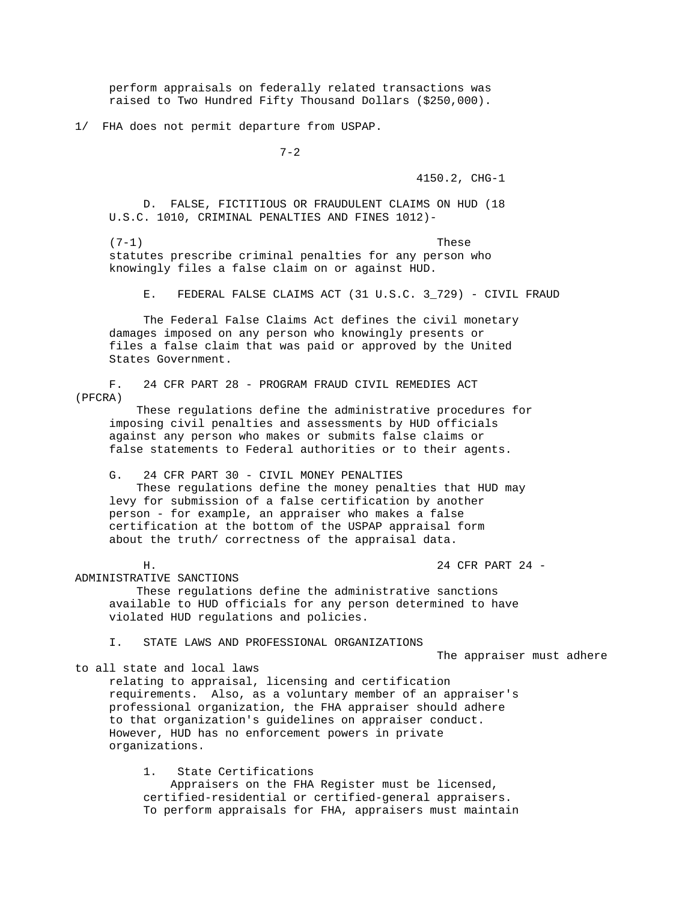perform appraisals on federally related transactions was raised to Two Hundred Fifty Thousand Dollars (\$250,000).

1/ FHA does not permit departure from USPAP.

7-2

4150.2, CHG-1

 D. FALSE, FICTITIOUS OR FRAUDULENT CLAIMS ON HUD (18 U.S.C. 1010, CRIMINAL PENALTIES AND FINES 1012)-

 $(7-1)$  These statutes prescribe criminal penalties for any person who knowingly files a false claim on or against HUD.

E. FEDERAL FALSE CLAIMS ACT (31 U.S.C. 3\_729) - CIVIL FRAUD

 The Federal False Claims Act defines the civil monetary damages imposed on any person who knowingly presents or files a false claim that was paid or approved by the United States Government.

 F. 24 CFR PART 28 - PROGRAM FRAUD CIVIL REMEDIES ACT (PFCRA)

 These regulations define the administrative procedures for imposing civil penalties and assessments by HUD officials against any person who makes or submits false claims or false statements to Federal authorities or to their agents.

G. 24 CFR PART 30 - CIVIL MONEY PENALTIES

 These regulations define the money penalties that HUD may levy for submission of a false certification by another person - for example, an appraiser who makes a false certification at the bottom of the USPAP appraisal form about the truth/ correctness of the appraisal data.

H. 24 CFR PART 24 -

ADMINISTRATIVE SANCTIONS

 These regulations define the administrative sanctions available to HUD officials for any person determined to have violated HUD regulations and policies.

I. STATE LAWS AND PROFESSIONAL ORGANIZATIONS

The appraiser must adhere

to all state and local laws

 relating to appraisal, licensing and certification requirements. Also, as a voluntary member of an appraiser's professional organization, the FHA appraiser should adhere to that organization's guidelines on appraiser conduct. However, HUD has no enforcement powers in private organizations.

 1. State Certifications Appraisers on the FHA Register must be licensed, certified-residential or certified-general appraisers. To perform appraisals for FHA, appraisers must maintain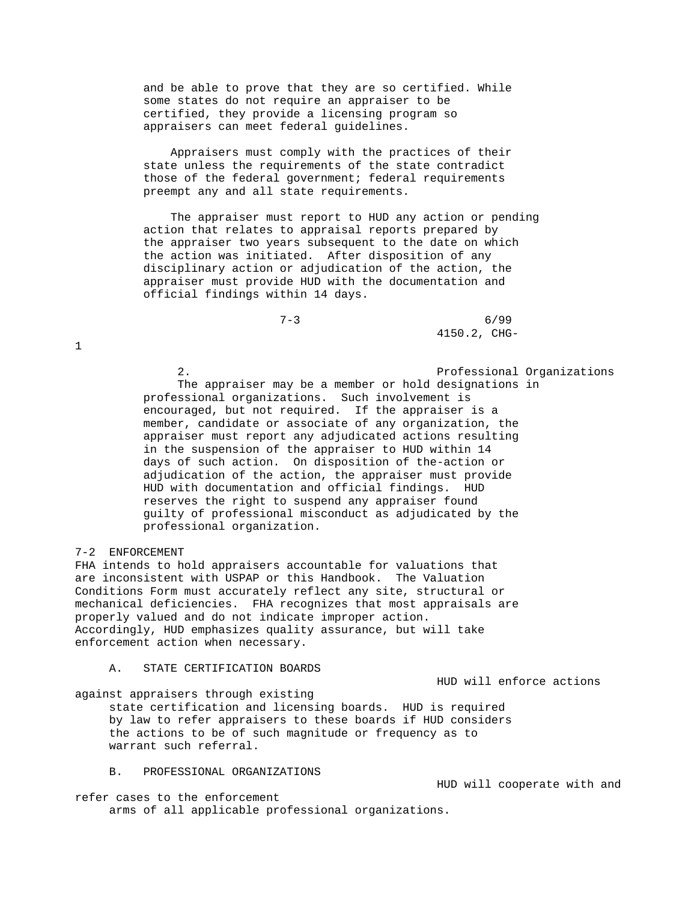and be able to prove that they are so certified. While some states do not require an appraiser to be certified, they provide a licensing program so appraisers can meet federal guidelines.

 Appraisers must comply with the practices of their state unless the requirements of the state contradict those of the federal government; federal requirements preempt any and all state requirements.

 The appraiser must report to HUD any action or pending action that relates to appraisal reports prepared by the appraiser two years subsequent to the date on which the action was initiated. After disposition of any disciplinary action or adjudication of the action, the appraiser must provide HUD with the documentation and official findings within 14 days.

 $7-3$  6/99 4150.2, CHG-

> 2. Professional Organizations The appraiser may be a member or hold designations in professional organizations. Such involvement is encouraged, but not required. If the appraiser is a member, candidate or associate of any organization, the appraiser must report any adjudicated actions resulting in the suspension of the appraiser to HUD within 14 days of such action. On disposition of the-action or adjudication of the action, the appraiser must provide HUD with documentation and official findings. HUD reserves the right to suspend any appraiser found guilty of professional misconduct as adjudicated by the professional organization.

7-2 ENFORCEMENT

1

FHA intends to hold appraisers accountable for valuations that are inconsistent with USPAP or this Handbook. The Valuation Conditions Form must accurately reflect any site, structural or mechanical deficiencies. FHA recognizes that most appraisals are properly valued and do not indicate improper action. Accordingly, HUD emphasizes quality assurance, but will take enforcement action when necessary.

A. STATE CERTIFICATION BOARDS

HUD will enforce actions

against appraisers through existing

 state certification and licensing boards. HUD is required by law to refer appraisers to these boards if HUD considers the actions to be of such magnitude or frequency as to warrant such referral.

B. PROFESSIONAL ORGANIZATIONS

HUD will cooperate with and

refer cases to the enforcement arms of all applicable professional organizations.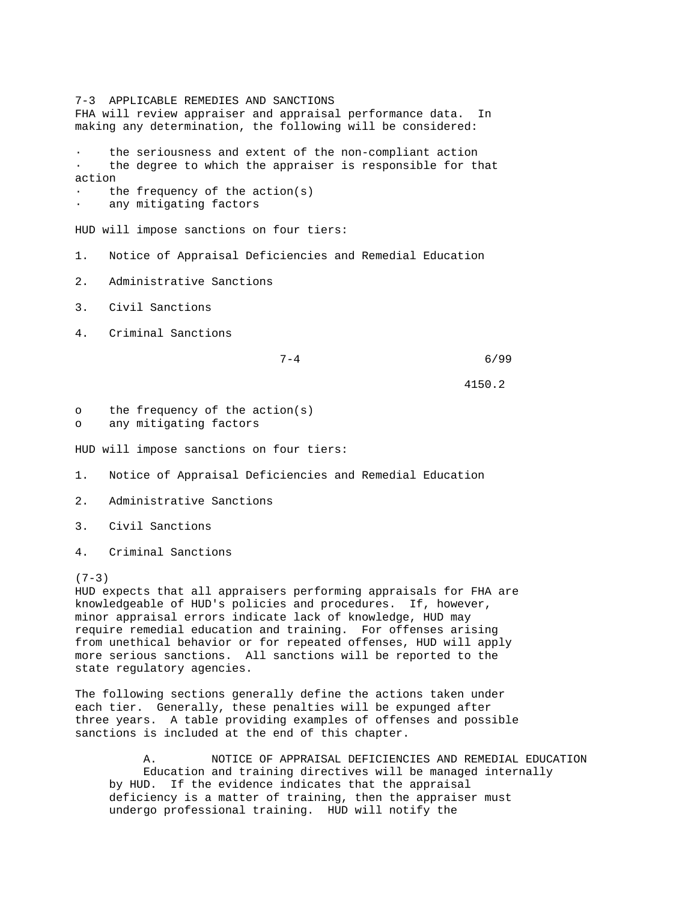7-3 APPLICABLE REMEDIES AND SANCTIONS FHA will review appraiser and appraisal performance data. In making any determination, the following will be considered: the seriousness and extent of the non-compliant action the degree to which the appraiser is responsible for that action the frequency of the  $action(s)$ any mitigating factors HUD will impose sanctions on four tiers: 1. Notice of Appraisal Deficiencies and Remedial Education 2. Administrative Sanctions 3. Civil Sanctions 4. Criminal Sanctions  $7-4$  6/99 4150.2 o the frequency of the action(s) o any mitigating factors HUD will impose sanctions on four tiers: 1. Notice of Appraisal Deficiencies and Remedial Education 2. Administrative Sanctions

- 3. Civil Sanctions
- 4. Criminal Sanctions

#### $(7-3)$

HUD expects that all appraisers performing appraisals for FHA are knowledgeable of HUD's policies and procedures. If, however, minor appraisal errors indicate lack of knowledge, HUD may require remedial education and training. For offenses arising from unethical behavior or for repeated offenses, HUD will apply more serious sanctions. All sanctions will be reported to the state regulatory agencies.

The following sections generally define the actions taken under each tier. Generally, these penalties will be expunged after three years. A table providing examples of offenses and possible sanctions is included at the end of this chapter.

 A. NOTICE OF APPRAISAL DEFICIENCIES AND REMEDIAL EDUCATION Education and training directives will be managed internally by HUD. If the evidence indicates that the appraisal deficiency is a matter of training, then the appraiser must undergo professional training. HUD will notify the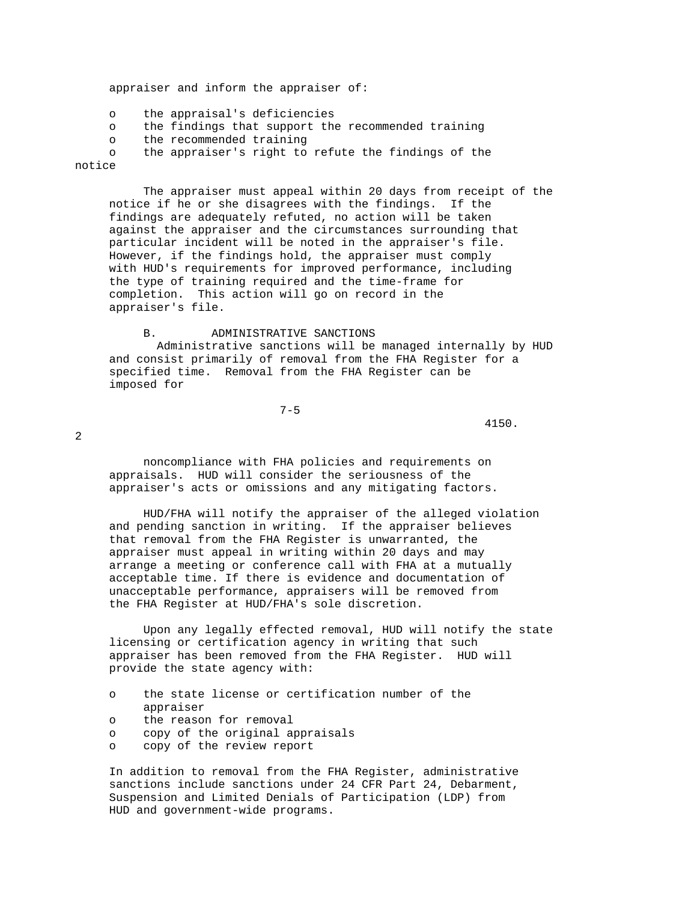appraiser and inform the appraiser of:

o the appraisal's deficiencies

o the findings that support the recommended training

o the recommended training

o the appraiser's right to refute the findings of the

notice

 The appraiser must appeal within 20 days from receipt of the notice if he or she disagrees with the findings. If the findings are adequately refuted, no action will be taken against the appraiser and the circumstances surrounding that particular incident will be noted in the appraiser's file. However, if the findings hold, the appraiser must comply with HUD's requirements for improved performance, including the type of training required and the time-frame for completion. This action will go on record in the appraiser's file.

#### B. ADMINISTRATIVE SANCTIONS

 Administrative sanctions will be managed internally by HUD and consist primarily of removal from the FHA Register for a specified time. Removal from the FHA Register can be imposed for

7-5

 $4150.$ 

2

 noncompliance with FHA policies and requirements on appraisals. HUD will consider the seriousness of the appraiser's acts or omissions and any mitigating factors.

 HUD/FHA will notify the appraiser of the alleged violation and pending sanction in writing. If the appraiser believes that removal from the FHA Register is unwarranted, the appraiser must appeal in writing within 20 days and may arrange a meeting or conference call with FHA at a mutually acceptable time. If there is evidence and documentation of unacceptable performance, appraisers will be removed from the FHA Register at HUD/FHA's sole discretion.

 Upon any legally effected removal, HUD will notify the state licensing or certification agency in writing that such appraiser has been removed from the FHA Register. HUD will provide the state agency with:

 o the state license or certification number of the appraiser o the reason for removal o copy of the original appraisals o copy of the review report

 In addition to removal from the FHA Register, administrative sanctions include sanctions under 24 CFR Part 24, Debarment, Suspension and Limited Denials of Participation (LDP) from HUD and government-wide programs.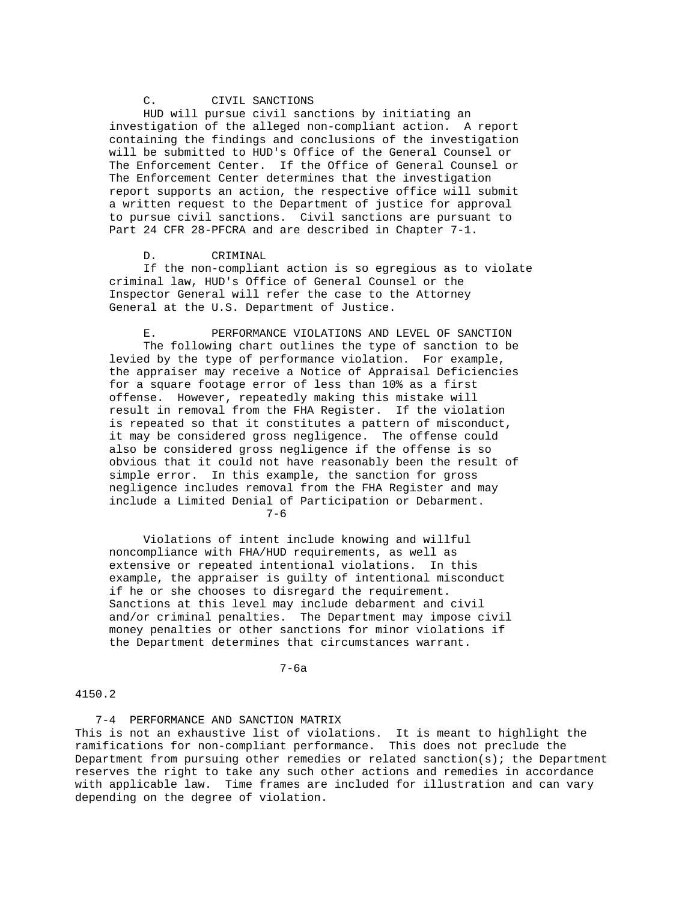# C. CIVIL SANCTIONS

 HUD will pursue civil sanctions by initiating an investigation of the alleged non-compliant action. A report containing the findings and conclusions of the investigation will be submitted to HUD's Office of the General Counsel or The Enforcement Center. If the Office of General Counsel or The Enforcement Center determines that the investigation report supports an action, the respective office will submit a written request to the Department of justice for approval to pursue civil sanctions. Civil sanctions are pursuant to Part 24 CFR 28-PFCRA and are described in Chapter 7-1.

D. CRIMINAL

 If the non-compliant action is so egregious as to violate criminal law, HUD's Office of General Counsel or the Inspector General will refer the case to the Attorney General at the U.S. Department of Justice.

 E. PERFORMANCE VIOLATIONS AND LEVEL OF SANCTION The following chart outlines the type of sanction to be levied by the type of performance violation. For example, the appraiser may receive a Notice of Appraisal Deficiencies for a square footage error of less than 10% as a first offense. However, repeatedly making this mistake will result in removal from the FHA Register. If the violation is repeated so that it constitutes a pattern of misconduct, it may be considered gross negligence. The offense could also be considered gross negligence if the offense is so obvious that it could not have reasonably been the result of simple error. In this example, the sanction for gross negligence includes removal from the FHA Register and may include a Limited Denial of Participation or Debarment. 7-6

 Violations of intent include knowing and willful noncompliance with FHA/HUD requirements, as well as extensive or repeated intentional violations. In this example, the appraiser is guilty of intentional misconduct if he or she chooses to disregard the requirement. Sanctions at this level may include debarment and civil and/or criminal penalties. The Department may impose civil money penalties or other sanctions for minor violations if the Department determines that circumstances warrant.

## 7-6a

## 4150.2

 7-4 PERFORMANCE AND SANCTION MATRIX This is not an exhaustive list of violations. It is meant to highlight the ramifications for non-compliant performance. This does not preclude the Department from pursuing other remedies or related sanction(s); the Department reserves the right to take any such other actions and remedies in accordance with applicable law. Time frames are included for illustration and can vary depending on the degree of violation.